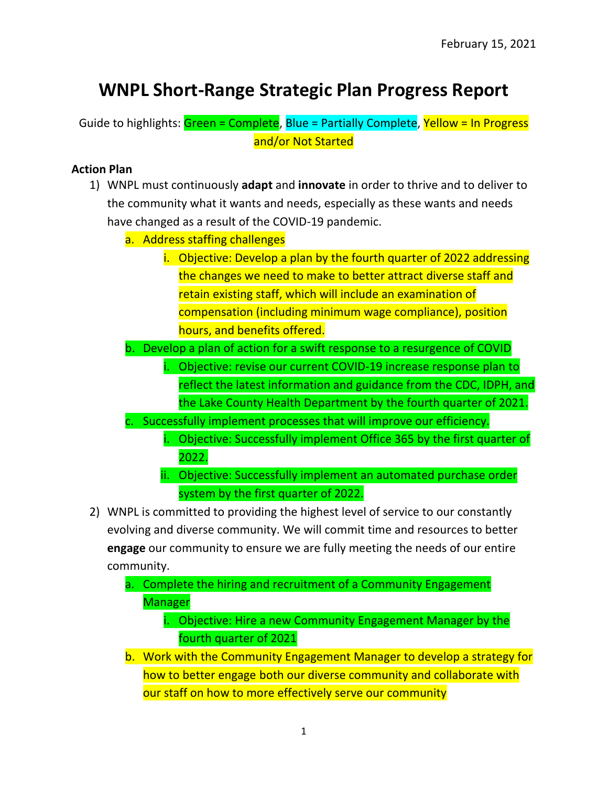## **WNPL Short-Range Strategic Plan Progress Report**

Guide to highlights: Green = Complete, Blue = Partially Complete, Yellow = In Progress and/or Not Started

## **Action Plan**

- 1) WNPL must continuously **adapt** and **innovate** in order to thrive and to deliver to the community what it wants and needs, especially as these wants and needs have changed as a result of the COVID-19 pandemic.
	- a. Address staffing challenges
		- i. Objective: Develop a plan by the fourth quarter of 2022 addressing the changes we need to make to better attract diverse staff and retain existing staff, which will include an examination of compensation (including minimum wage compliance), position hours, and benefits offered.
	- b. Develop a plan of action for a swift response to a resurgence of COVID
		- i. Objective: revise our current COVID-19 increase response plan to reflect the latest information and guidance from the CDC, IDPH, and the Lake County Health Department by the fourth quarter of 2021.
	- Successfully implement processes that will improve our efficiency.
		- i. Objective: Successfully implement Office 365 by the first quarter of 2022.
		- ii. Objective: Successfully implement an automated purchase order system by the first quarter of 2022.
- 2) WNPL is committed to providing the highest level of service to our constantly evolving and diverse community. We will commit time and resources to better **engage** our community to ensure we are fully meeting the needs of our entire community.
	- a. Complete the hiring and recruitment of a Community Engagement Manager
		- i. Objective: Hire a new Community Engagement Manager by the fourth quarter of 2021
	- b. Work with the Community Engagement Manager to develop a strategy for how to better engage both our diverse community and collaborate with our staff on how to more effectively serve our community